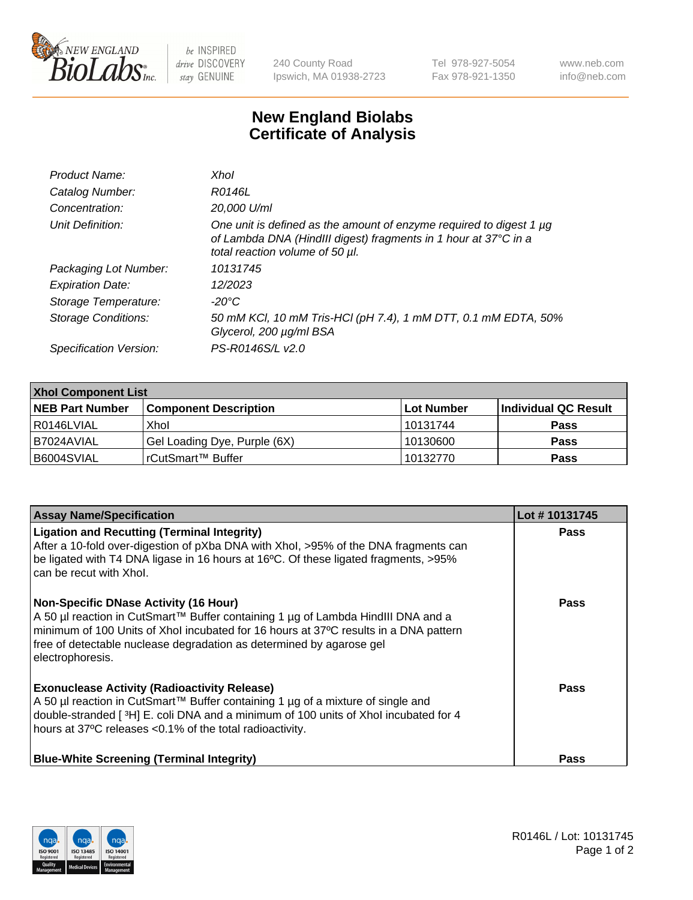

 $be$  INSPIRED drive DISCOVERY stay GENUINE

240 County Road Ipswich, MA 01938-2723 Tel 978-927-5054 Fax 978-921-1350 www.neb.com info@neb.com

## **New England Biolabs Certificate of Analysis**

| Product Name:           | Xhol                                                                                                                                                                      |
|-------------------------|---------------------------------------------------------------------------------------------------------------------------------------------------------------------------|
| Catalog Number:         | R0146L                                                                                                                                                                    |
| Concentration:          | 20,000 U/ml                                                                                                                                                               |
| Unit Definition:        | One unit is defined as the amount of enzyme required to digest 1 µg<br>of Lambda DNA (HindIII digest) fragments in 1 hour at 37°C in a<br>total reaction volume of 50 µl. |
| Packaging Lot Number:   | 10131745                                                                                                                                                                  |
| <b>Expiration Date:</b> | 12/2023                                                                                                                                                                   |
| Storage Temperature:    | -20°C                                                                                                                                                                     |
| Storage Conditions:     | 50 mM KCl, 10 mM Tris-HCl (pH 7.4), 1 mM DTT, 0.1 mM EDTA, 50%<br>Glycerol, 200 µg/ml BSA                                                                                 |
| Specification Version:  | PS-R0146S/L v2.0                                                                                                                                                          |

| <b>Xhol Component List</b> |                              |             |                      |  |  |
|----------------------------|------------------------------|-------------|----------------------|--|--|
| <b>NEB Part Number</b>     | <b>Component Description</b> | ∣Lot Number | Individual QC Result |  |  |
| R0146LVIAL                 | Xhol                         | 10131744    | <b>Pass</b>          |  |  |
| IB7024AVIAL                | Gel Loading Dye, Purple (6X) | 10130600    | <b>Pass</b>          |  |  |
| B6004SVIAL                 | rCutSmart™ Buffer            | 10132770    | <b>Pass</b>          |  |  |

| <b>Assay Name/Specification</b>                                                                                                                                                                                                                                                                                      | Lot #10131745 |
|----------------------------------------------------------------------------------------------------------------------------------------------------------------------------------------------------------------------------------------------------------------------------------------------------------------------|---------------|
| <b>Ligation and Recutting (Terminal Integrity)</b><br>After a 10-fold over-digestion of pXba DNA with Xhol, >95% of the DNA fragments can<br>be ligated with T4 DNA ligase in 16 hours at 16°C. Of these ligated fragments, >95%<br>can be recut with Xhol.                                                          | <b>Pass</b>   |
| <b>Non-Specific DNase Activity (16 Hour)</b><br>A 50 µl reaction in CutSmart™ Buffer containing 1 µg of Lambda HindIII DNA and a<br>minimum of 100 Units of Xhol incubated for 16 hours at 37°C results in a DNA pattern<br>free of detectable nuclease degradation as determined by agarose gel<br>electrophoresis. | <b>Pass</b>   |
| <b>Exonuclease Activity (Radioactivity Release)</b><br>A 50 µl reaction in CutSmart™ Buffer containing 1 µg of a mixture of single and<br>double-stranded [3H] E. coli DNA and a minimum of 100 units of Xhol incubated for 4<br>hours at 37°C releases <0.1% of the total radioactivity.                            | Pass          |
| <b>Blue-White Screening (Terminal Integrity)</b>                                                                                                                                                                                                                                                                     | <b>Pass</b>   |